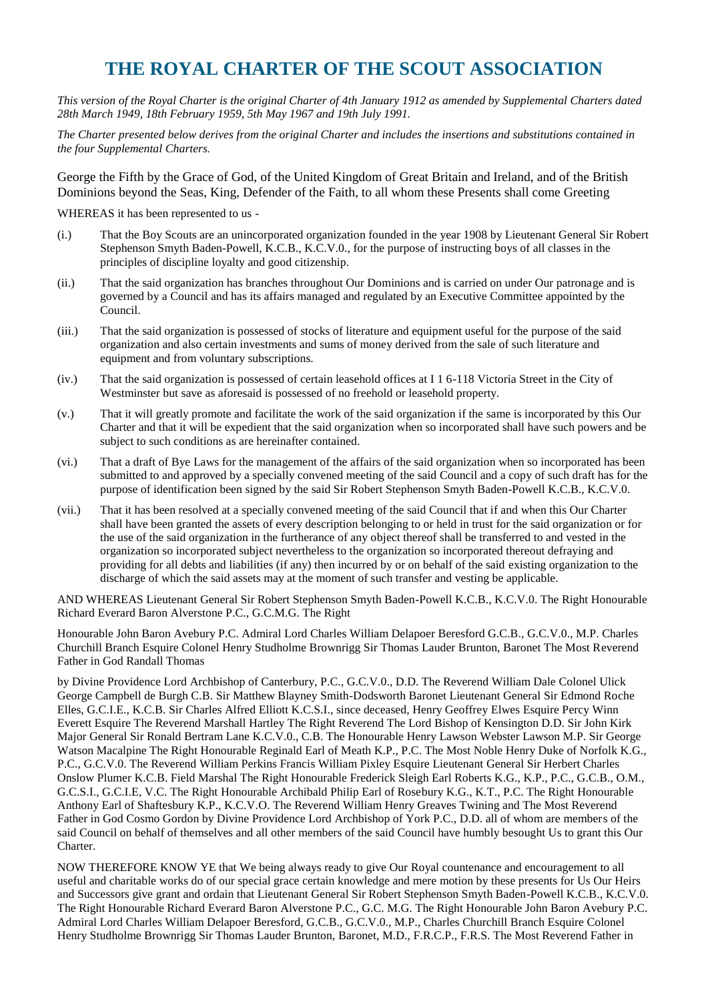## **THE ROYAL CHARTER OF THE SCOUT ASSOCIATION**

*This version of the Royal Charter is the original Charter of 4th January 1912 as amended by Supplemental Charters dated 28th March 1949, 18th February 1959, 5th May 1967 and 19th July 1991.*

*The Charter presented below derives from the original Charter and includes the insertions and substitutions contained in the four Supplemental Charters.*

George the Fifth by the Grace of God, of the United Kingdom of Great Britain and Ireland, and of the British Dominions beyond the Seas, King, Defender of the Faith, to all whom these Presents shall come Greeting

WHEREAS it has been represented to us -

- (i.) That the Boy Scouts are an unincorporated organization founded in the year 1908 by Lieutenant General Sir Robert Stephenson Smyth Baden-Powell, K.C.B., K.C.V.0., for the purpose of instructing boys of all classes in the principles of discipline loyalty and good citizenship.
- (ii.) That the said organization has branches throughout Our Dominions and is carried on under Our patronage and is governed by a Council and has its affairs managed and regulated by an Executive Committee appointed by the Council.
- (iii.) That the said organization is possessed of stocks of literature and equipment useful for the purpose of the said organization and also certain investments and sums of money derived from the sale of such literature and equipment and from voluntary subscriptions.
- (iv.) That the said organization is possessed of certain leasehold offices at I 1 6-118 Victoria Street in the City of Westminster but save as aforesaid is possessed of no freehold or leasehold property.
- (v.) That it will greatly promote and facilitate the work of the said organization if the same is incorporated by this Our Charter and that it will be expedient that the said organization when so incorporated shall have such powers and be subject to such conditions as are hereinafter contained.
- (vi.) That a draft of Bye Laws for the management of the affairs of the said organization when so incorporated has been submitted to and approved by a specially convened meeting of the said Council and a copy of such draft has for the purpose of identification been signed by the said Sir Robert Stephenson Smyth Baden-Powell K.C.B., K.C.V.0.
- (vii.) That it has been resolved at a specially convened meeting of the said Council that if and when this Our Charter shall have been granted the assets of every description belonging to or held in trust for the said organization or for the use of the said organization in the furtherance of any object thereof shall be transferred to and vested in the organization so incorporated subject nevertheless to the organization so incorporated thereout defraying and providing for all debts and liabilities (if any) then incurred by or on behalf of the said existing organization to the discharge of which the said assets may at the moment of such transfer and vesting be applicable.

AND WHEREAS Lieutenant General Sir Robert Stephenson Smyth Baden-Powell K.C.B., K.C.V.0. The Right Honourable Richard Everard Baron Alverstone P.C., G.C.M.G. The Right

Honourable John Baron Avebury P.C. Admiral Lord Charles William Delapoer Beresford G.C.B., G.C.V.0., M.P. Charles Churchill Branch Esquire Colonel Henry Studholme Brownrigg Sir Thomas Lauder Brunton, Baronet The Most Reverend Father in God Randall Thomas

by Divine Providence Lord Archbishop of Canterbury, P.C., G.C.V.0., D.D. The Reverend William Dale Colonel Ulick George Campbell de Burgh C.B. Sir Matthew Blayney Smith-Dodsworth Baronet Lieutenant General Sir Edmond Roche Elles, G.C.I.E., K.C.B. Sir Charles Alfred Elliott K.C.S.I., since deceased, Henry Geoffrey Elwes Esquire Percy Winn Everett Esquire The Reverend Marshall Hartley The Right Reverend The Lord Bishop of Kensington D.D. Sir John Kirk Major General Sir Ronald Bertram Lane K.C.V.0., C.B. The Honourable Henry Lawson Webster Lawson M.P. Sir George Watson Macalpine The Right Honourable Reginald Earl of Meath K.P., P.C. The Most Noble Henry Duke of Norfolk K.G., P.C., G.C.V.0. The Reverend William Perkins Francis William Pixley Esquire Lieutenant General Sir Herbert Charles Onslow Plumer K.C.B. Field Marshal The Right Honourable Frederick Sleigh Earl Roberts K.G., K.P., P.C., G.C.B., O.M., G.C.S.I., G.C.I.E, V.C. The Right Honourable Archibald Philip Earl of Rosebury K.G., K.T., P.C. The Right Honourable Anthony Earl of Shaftesbury K.P., K.C.V.O. The Reverend William Henry Greaves Twining and The Most Reverend Father in God Cosmo Gordon by Divine Providence Lord Archbishop of York P.C., D.D. all of whom are members of the said Council on behalf of themselves and all other members of the said Council have humbly besought Us to grant this Our Charter.

NOW THEREFORE KNOW YE that We being always ready to give Our Royal countenance and encouragement to all useful and charitable works do of our special grace certain knowledge and mere motion by these presents for Us Our Heirs and Successors give grant and ordain that Lieutenant General Sir Robert Stephenson Smyth Baden-Powell K.C.B., K.C.V.0. The Right Honourable Richard Everard Baron Alverstone P.C., G.C. M.G. The Right Honourable John Baron Avebury P.C. Admiral Lord Charles William Delapoer Beresford, G.C.B., G.C.V.0., M.P., Charles Churchill Branch Esquire Colonel Henry Studholme Brownrigg Sir Thomas Lauder Brunton, Baronet, M.D., F.R.C.P., F.R.S. The Most Reverend Father in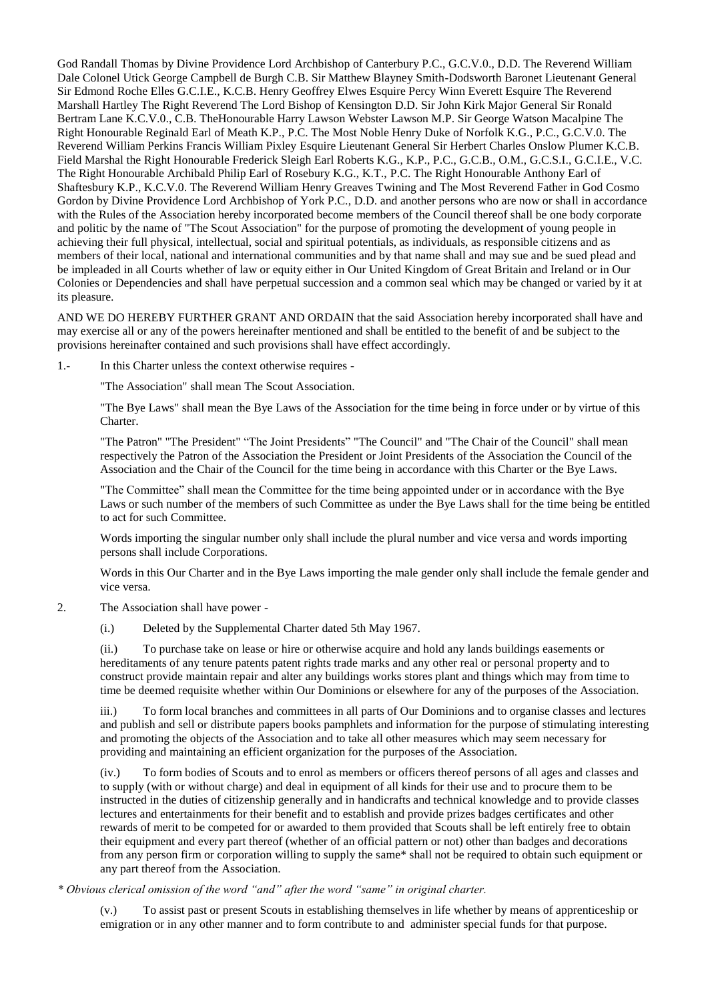God Randall Thomas by Divine Providence Lord Archbishop of Canterbury P.C., G.C.V.0., D.D. The Reverend William Dale Colonel Utick George Campbell de Burgh C.B. Sir Matthew Blayney Smith-Dodsworth Baronet Lieutenant General Sir Edmond Roche Elles G.C.I.E., K.C.B. Henry Geoffrey Elwes Esquire Percy Winn Everett Esquire The Reverend Marshall Hartley The Right Reverend The Lord Bishop of Kensington D.D. Sir John Kirk Major General Sir Ronald Bertram Lane K.C.V.0., C.B. TheHonourable Harry Lawson Webster Lawson M.P. Sir George Watson Macalpine The Right Honourable Reginald Earl of Meath K.P., P.C. The Most Noble Henry Duke of Norfolk K.G., P.C., G.C.V.0. The Reverend William Perkins Francis William Pixley Esquire Lieutenant General Sir Herbert Charles Onslow Plumer K.C.B. Field Marshal the Right Honourable Frederick Sleigh Earl Roberts K.G., K.P., P.C., G.C.B., O.M., G.C.S.I., G.C.I.E., V.C. The Right Honourable Archibald Philip Earl of Rosebury K.G., K.T., P.C. The Right Honourable Anthony Earl of Shaftesbury K.P., K.C.V.0. The Reverend William Henry Greaves Twining and The Most Reverend Father in God Cosmo Gordon by Divine Providence Lord Archbishop of York P.C., D.D. and another persons who are now or shall in accordance with the Rules of the Association hereby incorporated become members of the Council thereof shall be one body corporate and politic by the name of "The Scout Association" for the purpose of promoting the development of young people in achieving their full physical, intellectual, social and spiritual potentials, as individuals, as responsible citizens and as members of their local, national and international communities and by that name shall and may sue and be sued plead and be impleaded in all Courts whether of law or equity either in Our United Kingdom of Great Britain and Ireland or in Our Colonies or Dependencies and shall have perpetual succession and a common seal which may be changed or varied by it at its pleasure.

AND WE DO HEREBY FURTHER GRANT AND ORDAIN that the said Association hereby incorporated shall have and may exercise all or any of the powers hereinafter mentioned and shall be entitled to the benefit of and be subject to the provisions hereinafter contained and such provisions shall have effect accordingly.

1.- In this Charter unless the context otherwise requires -

"The Association" shall mean The Scout Association.

"The Bye Laws" shall mean the Bye Laws of the Association for the time being in force under or by virtue of this Charter.

"The Patron" "The President" "The Joint Presidents" "The Council" and "The Chair of the Council" shall mean respectively the Patron of the Association the President or Joint Presidents of the Association the Council of the Association and the Chair of the Council for the time being in accordance with this Charter or the Bye Laws.

"The Committee" shall mean the Committee for the time being appointed under or in accordance with the Bye Laws or such number of the members of such Committee as under the Bye Laws shall for the time being be entitled to act for such Committee.

Words importing the singular number only shall include the plural number and vice versa and words importing persons shall include Corporations.

Words in this Our Charter and in the Bye Laws importing the male gender only shall include the female gender and vice versa.

2. The Association shall have power -

(i.) Deleted by the Supplemental Charter dated 5th May 1967.

(ii.) To purchase take on lease or hire or otherwise acquire and hold any lands buildings easements or hereditaments of any tenure patents patent rights trade marks and any other real or personal property and to construct provide maintain repair and alter any buildings works stores plant and things which may from time to time be deemed requisite whether within Our Dominions or elsewhere for any of the purposes of the Association.

iii.) To form local branches and committees in all parts of Our Dominions and to organise classes and lectures and publish and sell or distribute papers books pamphlets and information for the purpose of stimulating interesting and promoting the objects of the Association and to take all other measures which may seem necessary for providing and maintaining an efficient organization for the purposes of the Association.

(iv.) To form bodies of Scouts and to enrol as members or officers thereof persons of all ages and classes and to supply (with or without charge) and deal in equipment of all kinds for their use and to procure them to be instructed in the duties of citizenship generally and in handicrafts and technical knowledge and to provide classes lectures and entertainments for their benefit and to establish and provide prizes badges certificates and other rewards of merit to be competed for or awarded to them provided that Scouts shall be left entirely free to obtain their equipment and every part thereof (whether of an official pattern or not) other than badges and decorations from any person firm or corporation willing to supply the same\* shall not be required to obtain such equipment or any part thereof from the Association.

*\* Obvious clerical omission of the word "and" after the word "same" in original charter.*

(v.) To assist past or present Scouts in establishing themselves in life whether by means of apprenticeship or emigration or in any other manner and to form contribute to and administer special funds for that purpose.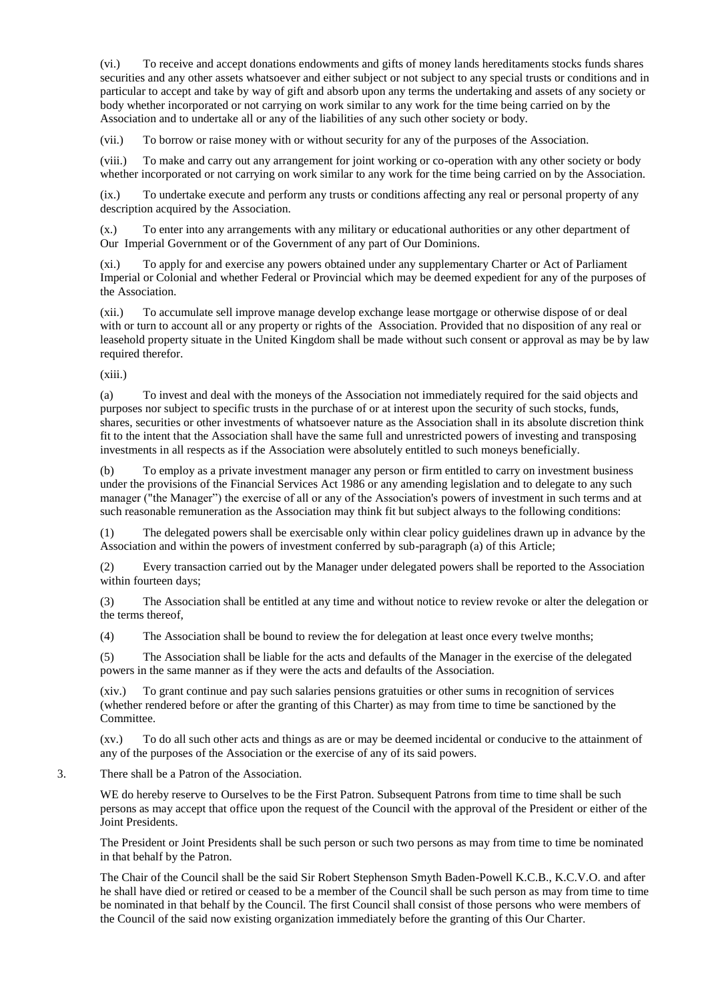(vi.) To receive and accept donations endowments and gifts of money lands hereditaments stocks funds shares securities and any other assets whatsoever and either subject or not subject to any special trusts or conditions and in particular to accept and take by way of gift and absorb upon any terms the undertaking and assets of any society or body whether incorporated or not carrying on work similar to any work for the time being carried on by the Association and to undertake all or any of the liabilities of any such other society or body.

(vii.) To borrow or raise money with or without security for any of the purposes of the Association.

(viii.) To make and carry out any arrangement for joint working or co-operation with any other society or body whether incorporated or not carrying on work similar to any work for the time being carried on by the Association.

(ix.) To undertake execute and perform any trusts or conditions affecting any real or personal property of any description acquired by the Association.

(x.) To enter into any arrangements with any military or educational authorities or any other department of Our Imperial Government or of the Government of any part of Our Dominions.

(xi.) To apply for and exercise any powers obtained under any supplementary Charter or Act of Parliament Imperial or Colonial and whether Federal or Provincial which may be deemed expedient for any of the purposes of the Association.

(xii.) To accumulate sell improve manage develop exchange lease mortgage or otherwise dispose of or deal with or turn to account all or any property or rights of the Association. Provided that no disposition of any real or leasehold property situate in the United Kingdom shall be made without such consent or approval as may be by law required therefor.

(xiii.)

(a) To invest and deal with the moneys of the Association not immediately required for the said objects and purposes nor subject to specific trusts in the purchase of or at interest upon the security of such stocks, funds, shares, securities or other investments of whatsoever nature as the Association shall in its absolute discretion think fit to the intent that the Association shall have the same full and unrestricted powers of investing and transposing investments in all respects as if the Association were absolutely entitled to such moneys beneficially.

(b) To employ as a private investment manager any person or firm entitled to carry on investment business under the provisions of the Financial Services Act 1986 or any amending legislation and to delegate to any such manager ("the Manager") the exercise of all or any of the Association's powers of investment in such terms and at such reasonable remuneration as the Association may think fit but subject always to the following conditions:

(1) The delegated powers shall be exercisable only within clear policy guidelines drawn up in advance by the Association and within the powers of investment conferred by sub-paragraph (a) of this Article;

(2) Every transaction carried out by the Manager under delegated powers shall be reported to the Association within fourteen days;

(3) The Association shall be entitled at any time and without notice to review revoke or alter the delegation or the terms thereof,

(4) The Association shall be bound to review the for delegation at least once every twelve months;

(5) The Association shall be liable for the acts and defaults of the Manager in the exercise of the delegated powers in the same manner as if they were the acts and defaults of the Association.

(xiv.) To grant continue and pay such salaries pensions gratuities or other sums in recognition of services (whether rendered before or after the granting of this Charter) as may from time to time be sanctioned by the Committee.

(xv.) To do all such other acts and things as are or may be deemed incidental or conducive to the attainment of any of the purposes of the Association or the exercise of any of its said powers.

3. There shall be a Patron of the Association.

WE do hereby reserve to Ourselves to be the First Patron. Subsequent Patrons from time to time shall be such persons as may accept that office upon the request of the Council with the approval of the President or either of the Joint Presidents.

The President or Joint Presidents shall be such person or such two persons as may from time to time be nominated in that behalf by the Patron.

The Chair of the Council shall be the said Sir Robert Stephenson Smyth Baden-Powell K.C.B., K.C.V.O. and after he shall have died or retired or ceased to be a member of the Council shall be such person as may from time to time be nominated in that behalf by the Council. The first Council shall consist of those persons who were members of the Council of the said now existing organization immediately before the granting of this Our Charter.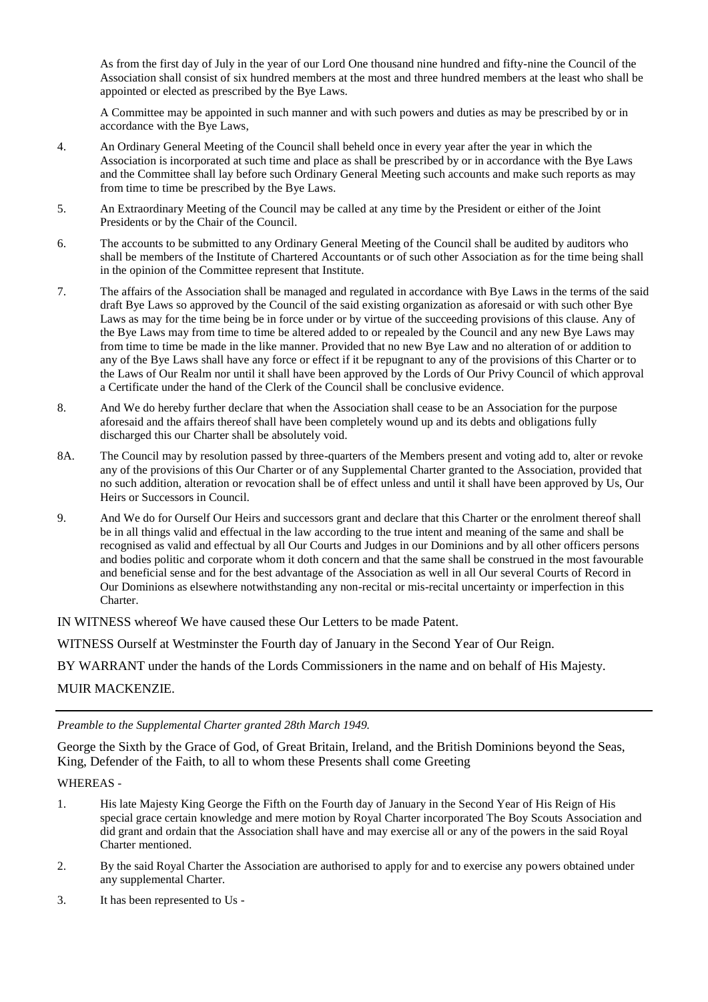As from the first day of July in the year of our Lord One thousand nine hundred and fifty-nine the Council of the Association shall consist of six hundred members at the most and three hundred members at the least who shall be appointed or elected as prescribed by the Bye Laws.

A Committee may be appointed in such manner and with such powers and duties as may be prescribed by or in accordance with the Bye Laws,

- 4. An Ordinary General Meeting of the Council shall beheld once in every year after the year in which the Association is incorporated at such time and place as shall be prescribed by or in accordance with the Bye Laws and the Committee shall lay before such Ordinary General Meeting such accounts and make such reports as may from time to time be prescribed by the Bye Laws.
- 5. An Extraordinary Meeting of the Council may be called at any time by the President or either of the Joint Presidents or by the Chair of the Council.
- 6. The accounts to be submitted to any Ordinary General Meeting of the Council shall be audited by auditors who shall be members of the Institute of Chartered Accountants or of such other Association as for the time being shall in the opinion of the Committee represent that Institute.
- 7. The affairs of the Association shall be managed and regulated in accordance with Bye Laws in the terms of the said draft Bye Laws so approved by the Council of the said existing organization as aforesaid or with such other Bye Laws as may for the time being be in force under or by virtue of the succeeding provisions of this clause. Any of the Bye Laws may from time to time be altered added to or repealed by the Council and any new Bye Laws may from time to time be made in the like manner. Provided that no new Bye Law and no alteration of or addition to any of the Bye Laws shall have any force or effect if it be repugnant to any of the provisions of this Charter or to the Laws of Our Realm nor until it shall have been approved by the Lords of Our Privy Council of which approval a Certificate under the hand of the Clerk of the Council shall be conclusive evidence.
- 8. And We do hereby further declare that when the Association shall cease to be an Association for the purpose aforesaid and the affairs thereof shall have been completely wound up and its debts and obligations fully discharged this our Charter shall be absolutely void.
- 8A. The Council may by resolution passed by three-quarters of the Members present and voting add to, alter or revoke any of the provisions of this Our Charter or of any Supplemental Charter granted to the Association, provided that no such addition, alteration or revocation shall be of effect unless and until it shall have been approved by Us, Our Heirs or Successors in Council.
- 9. And We do for Ourself Our Heirs and successors grant and declare that this Charter or the enrolment thereof shall be in all things valid and effectual in the law according to the true intent and meaning of the same and shall be recognised as valid and effectual by all Our Courts and Judges in our Dominions and by all other officers persons and bodies politic and corporate whom it doth concern and that the same shall be construed in the most favourable and beneficial sense and for the best advantage of the Association as well in all Our several Courts of Record in Our Dominions as elsewhere notwithstanding any non-recital or mis-recital uncertainty or imperfection in this Charter.

IN WITNESS whereof We have caused these Our Letters to be made Patent.

WITNESS Ourself at Westminster the Fourth day of January in the Second Year of Our Reign.

BY WARRANT under the hands of the Lords Commissioners in the name and on behalf of His Majesty.

MUIR MACKENZIE.

*Preamble to the Supplemental Charter granted 28th March 1949.*

George the Sixth by the Grace of God, of Great Britain, Ireland, and the British Dominions beyond the Seas, King, Defender of the Faith, to all to whom these Presents shall come Greeting

## WHEREAS -

- 1. His late Majesty King George the Fifth on the Fourth day of January in the Second Year of His Reign of His special grace certain knowledge and mere motion by Royal Charter incorporated The Boy Scouts Association and did grant and ordain that the Association shall have and may exercise all or any of the powers in the said Royal Charter mentioned.
- 2. By the said Royal Charter the Association are authorised to apply for and to exercise any powers obtained under any supplemental Charter.
- 3. It has been represented to Us -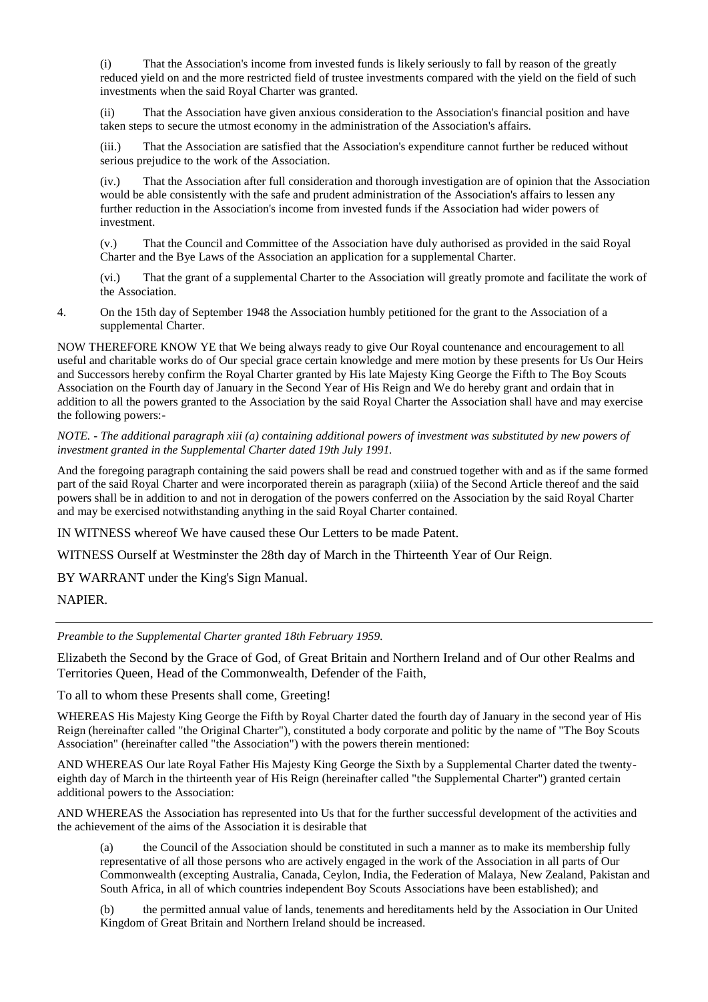(i) That the Association's income from invested funds is likely seriously to fall by reason of the greatly reduced yield on and the more restricted field of trustee investments compared with the yield on the field of such investments when the said Royal Charter was granted.

(ii) That the Association have given anxious consideration to the Association's financial position and have taken steps to secure the utmost economy in the administration of the Association's affairs.

(iii.) That the Association are satisfied that the Association's expenditure cannot further be reduced without serious prejudice to the work of the Association.

(iv.) That the Association after full consideration and thorough investigation are of opinion that the Association would be able consistently with the safe and prudent administration of the Association's affairs to lessen any further reduction in the Association's income from invested funds if the Association had wider powers of investment.

(v.) That the Council and Committee of the Association have duly authorised as provided in the said Royal Charter and the Bye Laws of the Association an application for a supplemental Charter.

(vi.) That the grant of a supplemental Charter to the Association will greatly promote and facilitate the work of the Association.

4. On the 15th day of September 1948 the Association humbly petitioned for the grant to the Association of a supplemental Charter.

NOW THEREFORE KNOW YE that We being always ready to give Our Royal countenance and encouragement to all useful and charitable works do of Our special grace certain knowledge and mere motion by these presents for Us Our Heirs and Successors hereby confirm the Royal Charter granted by His late Majesty King George the Fifth to The Boy Scouts Association on the Fourth day of January in the Second Year of His Reign and We do hereby grant and ordain that in addition to all the powers granted to the Association by the said Royal Charter the Association shall have and may exercise the following powers:-

*NOTE. - The additional paragraph xiii (a) containing additional powers of investment was substituted by new powers of investment granted in the Supplemental Charter dated 19th July 1991.*

And the foregoing paragraph containing the said powers shall be read and construed together with and as if the same formed part of the said Royal Charter and were incorporated therein as paragraph (xiiia) of the Second Article thereof and the said powers shall be in addition to and not in derogation of the powers conferred on the Association by the said Royal Charter and may be exercised notwithstanding anything in the said Royal Charter contained.

IN WITNESS whereof We have caused these Our Letters to be made Patent.

WITNESS Ourself at Westminster the 28th day of March in the Thirteenth Year of Our Reign.

BY WARRANT under the King's Sign Manual.

NAPIER.

*Preamble to the Supplemental Charter granted 18th February 1959.*

Elizabeth the Second by the Grace of God, of Great Britain and Northern Ireland and of Our other Realms and Territories Queen, Head of the Commonwealth, Defender of the Faith,

To all to whom these Presents shall come, Greeting!

WHEREAS His Majesty King George the Fifth by Royal Charter dated the fourth day of January in the second year of His Reign (hereinafter called "the Original Charter"), constituted a body corporate and politic by the name of "The Boy Scouts Association" (hereinafter called "the Association") with the powers therein mentioned:

AND WHEREAS Our late Royal Father His Majesty King George the Sixth by a Supplemental Charter dated the twentyeighth day of March in the thirteenth year of His Reign (hereinafter called "the Supplemental Charter") granted certain additional powers to the Association:

AND WHEREAS the Association has represented into Us that for the further successful development of the activities and the achievement of the aims of the Association it is desirable that

(a) the Council of the Association should be constituted in such a manner as to make its membership fully representative of all those persons who are actively engaged in the work of the Association in all parts of Our Commonwealth (excepting Australia, Canada, Ceylon, India, the Federation of Malaya, New Zealand, Pakistan and South Africa, in all of which countries independent Boy Scouts Associations have been established); and

(b) the permitted annual value of lands, tenements and hereditaments held by the Association in Our United Kingdom of Great Britain and Northern Ireland should be increased.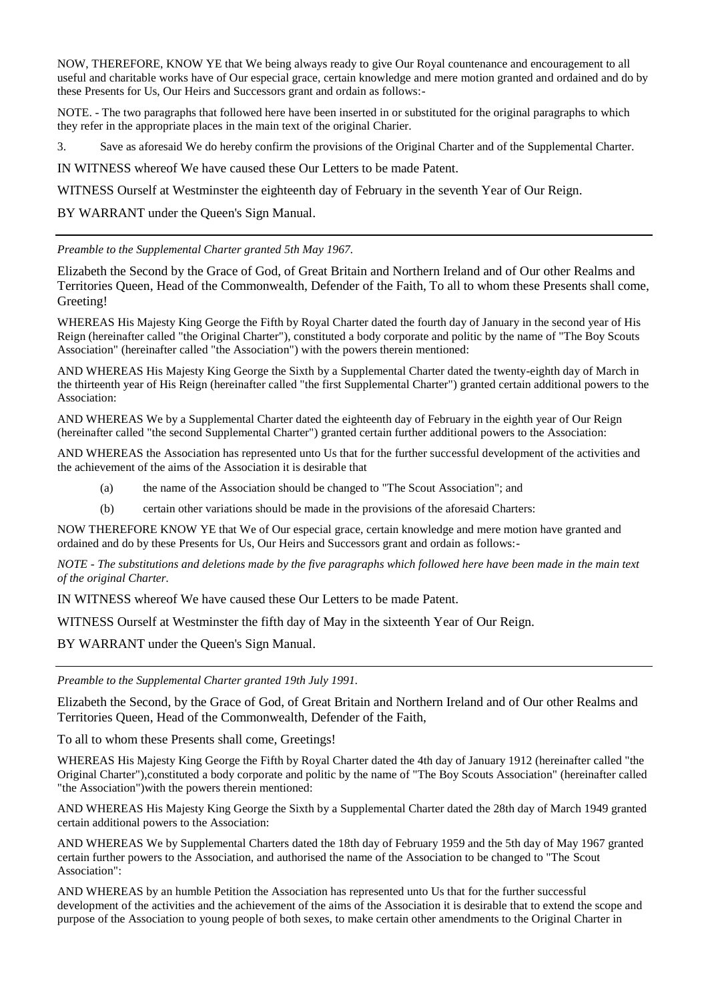NOW, THEREFORE, KNOW YE that We being always ready to give Our Royal countenance and encouragement to all useful and charitable works have of Our especial grace, certain knowledge and mere motion granted and ordained and do by these Presents for Us, Our Heirs and Successors grant and ordain as follows:-

NOTE. - The two paragraphs that followed here have been inserted in or substituted for the original paragraphs to which they refer in the appropriate places in the main text of the original Charier.

3. Save as aforesaid We do hereby confirm the provisions of the Original Charter and of the Supplemental Charter.

IN WITNESS whereof We have caused these Our Letters to be made Patent.

WITNESS Ourself at Westminster the eighteenth day of February in the seventh Year of Our Reign.

BY WARRANT under the Queen's Sign Manual.

*Preamble to the Supplemental Charter granted 5th May 1967.*

Elizabeth the Second by the Grace of God, of Great Britain and Northern Ireland and of Our other Realms and Territories Queen, Head of the Commonwealth, Defender of the Faith, To all to whom these Presents shall come, Greeting!

WHEREAS His Majesty King George the Fifth by Royal Charter dated the fourth day of January in the second year of His Reign (hereinafter called "the Original Charter"), constituted a body corporate and politic by the name of "The Boy Scouts Association" (hereinafter called "the Association") with the powers therein mentioned:

AND WHEREAS His Majesty King George the Sixth by a Supplemental Charter dated the twenty-eighth day of March in the thirteenth year of His Reign (hereinafter called "the first Supplemental Charter") granted certain additional powers to the Association:

AND WHEREAS We by a Supplemental Charter dated the eighteenth day of February in the eighth year of Our Reign (hereinafter called "the second Supplemental Charter") granted certain further additional powers to the Association:

AND WHEREAS the Association has represented unto Us that for the further successful development of the activities and the achievement of the aims of the Association it is desirable that

- (a) the name of the Association should be changed to "The Scout Association"; and
- (b) certain other variations should be made in the provisions of the aforesaid Charters:

NOW THEREFORE KNOW YE that We of Our especial grace, certain knowledge and mere motion have granted and ordained and do by these Presents for Us, Our Heirs and Successors grant and ordain as follows:-

*NOTE - The substitutions and deletions made by the five paragraphs which followed here have been made in the main text of the original Charter.*

IN WITNESS whereof We have caused these Our Letters to be made Patent.

WITNESS Ourself at Westminster the fifth day of May in the sixteenth Year of Our Reign.

BY WARRANT under the Queen's Sign Manual.

*Preamble to the Supplemental Charter granted 19th July 1991.*

Elizabeth the Second, by the Grace of God, of Great Britain and Northern Ireland and of Our other Realms and Territories Queen, Head of the Commonwealth, Defender of the Faith,

To all to whom these Presents shall come, Greetings!

WHEREAS His Majesty King George the Fifth by Royal Charter dated the 4th day of January 1912 (hereinafter called "the Original Charter"),constituted a body corporate and politic by the name of "The Boy Scouts Association" (hereinafter called "the Association")with the powers therein mentioned:

AND WHEREAS His Majesty King George the Sixth by a Supplemental Charter dated the 28th day of March 1949 granted certain additional powers to the Association:

AND WHEREAS We by Supplemental Charters dated the 18th day of February 1959 and the 5th day of May 1967 granted certain further powers to the Association, and authorised the name of the Association to be changed to "The Scout Association":

AND WHEREAS by an humble Petition the Association has represented unto Us that for the further successful development of the activities and the achievement of the aims of the Association it is desirable that to extend the scope and purpose of the Association to young people of both sexes, to make certain other amendments to the Original Charter in